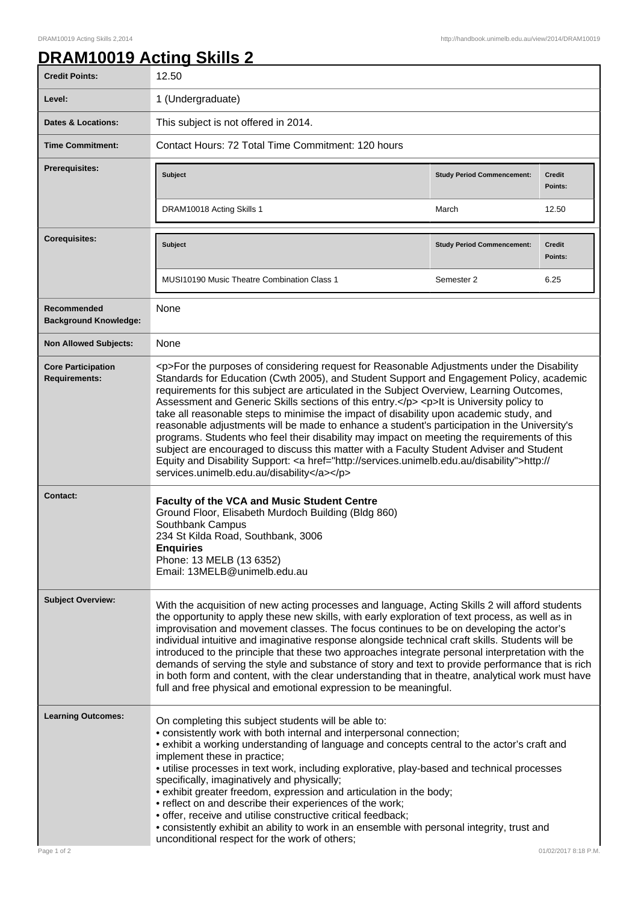## **DRAM10019 Acting Skills 2**

| <b>Credit Points:</b>                             | 12.50                                                                                                                                                                                                                                                                                                                                                                                                                                                                                                                                                                                                                                                                                                                                                                                                                                                                                                                        |                                   |                          |
|---------------------------------------------------|------------------------------------------------------------------------------------------------------------------------------------------------------------------------------------------------------------------------------------------------------------------------------------------------------------------------------------------------------------------------------------------------------------------------------------------------------------------------------------------------------------------------------------------------------------------------------------------------------------------------------------------------------------------------------------------------------------------------------------------------------------------------------------------------------------------------------------------------------------------------------------------------------------------------------|-----------------------------------|--------------------------|
| Level:                                            | 1 (Undergraduate)                                                                                                                                                                                                                                                                                                                                                                                                                                                                                                                                                                                                                                                                                                                                                                                                                                                                                                            |                                   |                          |
| <b>Dates &amp; Locations:</b>                     | This subject is not offered in 2014.                                                                                                                                                                                                                                                                                                                                                                                                                                                                                                                                                                                                                                                                                                                                                                                                                                                                                         |                                   |                          |
| <b>Time Commitment:</b>                           | Contact Hours: 72 Total Time Commitment: 120 hours                                                                                                                                                                                                                                                                                                                                                                                                                                                                                                                                                                                                                                                                                                                                                                                                                                                                           |                                   |                          |
| <b>Prerequisites:</b>                             | <b>Subject</b>                                                                                                                                                                                                                                                                                                                                                                                                                                                                                                                                                                                                                                                                                                                                                                                                                                                                                                               | <b>Study Period Commencement:</b> | <b>Credit</b><br>Points: |
|                                                   | DRAM10018 Acting Skills 1                                                                                                                                                                                                                                                                                                                                                                                                                                                                                                                                                                                                                                                                                                                                                                                                                                                                                                    | March                             | 12.50                    |
| <b>Corequisites:</b>                              | Subject                                                                                                                                                                                                                                                                                                                                                                                                                                                                                                                                                                                                                                                                                                                                                                                                                                                                                                                      | <b>Study Period Commencement:</b> | <b>Credit</b><br>Points: |
|                                                   | MUSI10190 Music Theatre Combination Class 1                                                                                                                                                                                                                                                                                                                                                                                                                                                                                                                                                                                                                                                                                                                                                                                                                                                                                  | Semester 2                        | 6.25                     |
| Recommended<br><b>Background Knowledge:</b>       | None                                                                                                                                                                                                                                                                                                                                                                                                                                                                                                                                                                                                                                                                                                                                                                                                                                                                                                                         |                                   |                          |
| <b>Non Allowed Subjects:</b>                      | None                                                                                                                                                                                                                                                                                                                                                                                                                                                                                                                                                                                                                                                                                                                                                                                                                                                                                                                         |                                   |                          |
| <b>Core Participation</b><br><b>Requirements:</b> | <p>For the purposes of considering request for Reasonable Adjustments under the Disability<br/>Standards for Education (Cwth 2005), and Student Support and Engagement Policy, academic<br/>requirements for this subject are articulated in the Subject Overview, Learning Outcomes,<br/>Assessment and Generic Skills sections of this entry.</p> <p>lt is University policy to<br/>take all reasonable steps to minimise the impact of disability upon academic study, and<br/>reasonable adjustments will be made to enhance a student's participation in the University's<br/>programs. Students who feel their disability may impact on meeting the requirements of this<br/>subject are encouraged to discuss this matter with a Faculty Student Adviser and Student<br/>Equity and Disability Support: &lt; a href="http://services.unimelb.edu.au/disability"&gt;http://<br/>services.unimelb.edu.au/disability</p> |                                   |                          |
| <b>Contact:</b>                                   | Faculty of the VCA and Music Student Centre<br>Ground Floor, Elisabeth Murdoch Building (Bldg 860)<br>Southbank Campus<br>234 St Kilda Road, Southbank, 3006<br><b>Enquiries</b><br>Phone: 13 MELB (13 6352)<br>Email: 13MELB@unimelb.edu.au                                                                                                                                                                                                                                                                                                                                                                                                                                                                                                                                                                                                                                                                                 |                                   |                          |
| <b>Subject Overview:</b>                          | With the acquisition of new acting processes and language, Acting Skills 2 will afford students<br>the opportunity to apply these new skills, with early exploration of text process, as well as in<br>improvisation and movement classes. The focus continues to be on developing the actor's<br>individual intuitive and imaginative response alongside technical craft skills. Students will be<br>introduced to the principle that these two approaches integrate personal interpretation with the<br>demands of serving the style and substance of story and text to provide performance that is rich<br>in both form and content, with the clear understanding that in theatre, analytical work must have<br>full and free physical and emotional expression to be meaningful.                                                                                                                                         |                                   |                          |
| <b>Learning Outcomes:</b>                         | On completing this subject students will be able to:<br>• consistently work with both internal and interpersonal connection;<br>• exhibit a working understanding of language and concepts central to the actor's craft and<br>implement these in practice;<br>• utilise processes in text work, including explorative, play-based and technical processes<br>specifically, imaginatively and physically;<br>· exhibit greater freedom, expression and articulation in the body;<br>• reflect on and describe their experiences of the work;<br>• offer, receive and utilise constructive critical feedback;<br>• consistently exhibit an ability to work in an ensemble with personal integrity, trust and<br>unconditional respect for the work of others;                                                                                                                                                                 |                                   |                          |
| Page 1 of 2                                       |                                                                                                                                                                                                                                                                                                                                                                                                                                                                                                                                                                                                                                                                                                                                                                                                                                                                                                                              |                                   | 01/02/2017 8:18 P.M.     |